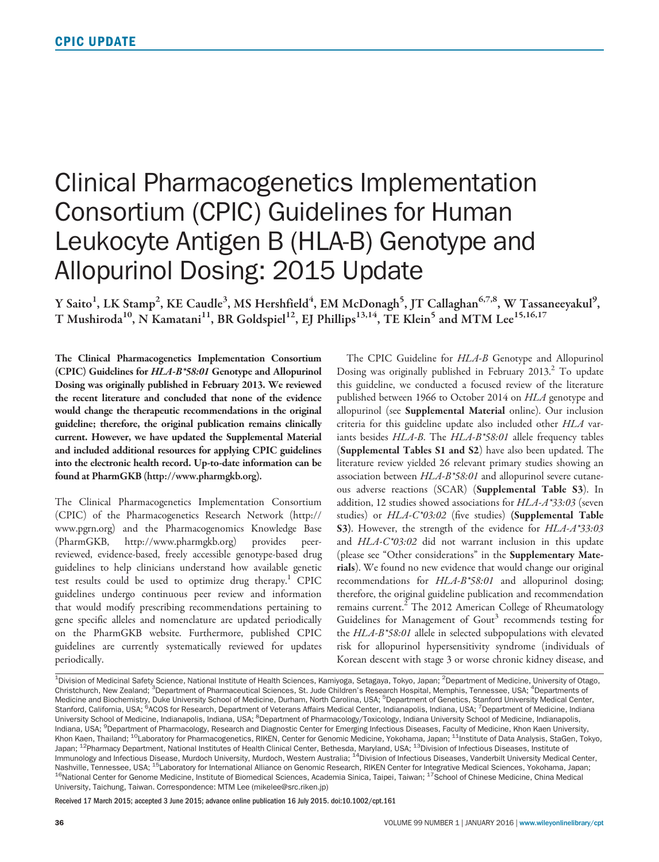## Clinical Pharmacogenetics Implementation Consortium (CPIC) Guidelines for Human Leukocyte Antigen B (HLA-B) Genotype and Allopurinol Dosing: 2015 Update

Y Saito<sup>1</sup>, LK Stamp<sup>2</sup>, KE Caudle<sup>3</sup>, MS Hershfield<sup>4</sup>, EM McDonagh<sup>5</sup>, JT Callaghan<sup>6,7,8</sup>, W Tassaneeyakul<sup>9</sup>, T Mushiroda<sup>10</sup>, N Kamatani<sup>11</sup>, BR Goldspiel<sup>12</sup>, EJ Phillips<sup>13,14</sup>, TE Klein<sup>5</sup> and MTM Lee<sup>15,16,17</sup>

The Clinical Pharmacogenetics Implementation Consortium (CPIC) Guidelines for HLA-B\*58:01 Genotype and Allopurinol Dosing was originally published in February 2013. We reviewed the recent literature and concluded that none of the evidence would change the therapeutic recommendations in the original guideline; therefore, the original publication remains clinically current. However, we have updated the Supplemental Material and included additional resources for applying CPIC guidelines into the electronic health record. Up-to-date information can be found at PharmGKB ([http://www.pharmgkb.org\)](http://www.pharmgkb.org).

The Clinical Pharmacogenetics Implementation Consortium (CPIC) of the Pharmacogenetics Research Network [\(http://](http://www.pgrn.org) [www.pgrn.org\)](http://www.pgrn.org) and the Pharmacogenomics Knowledge Base (PharmGKB, [http://www.pharmgkb.org\)](http://www.pharmgkb.org) provides peerreviewed, evidence-based, freely accessible genotype-based drug guidelines to help clinicians understand how available genetic test results could be used to optimize drug therapy.<sup>1</sup> CPIC guidelines undergo continuous peer review and information that would modify prescribing recommendations pertaining to gene specific alleles and nomenclature are updated periodically on the PharmGKB website. Furthermore, published CPIC guidelines are currently systematically reviewed for updates periodically.

The CPIC Guideline for HLA-B Genotype and Allopurinol Dosing was originally published in February 2013. $^2$  To update this guideline, we conducted a focused review of the literature published between 1966 to October 2014 on HLA genotype and allopurinol (see Supplemental Material online). Our inclusion criteria for this guideline update also included other HLA variants besides HLA-B. The HLA-B\*58:01 allele frequency tables (Supplemental Tables S1 and S2) have also been updated. The literature review yielded 26 relevant primary studies showing an association between  $HLA-B*58:01$  and allopurinol severe cutaneous adverse reactions (SCAR) (Supplemental Table S3). In addition, 12 studies showed associations for HLA-A\*33:03 (seven studies) or HLA-C\*03:02 (five studies) (Supplemental Table S3). However, the strength of the evidence for HLA-A\*33:03 and HLA-C\*03:02 did not warrant inclusion in this update (please see "Other considerations" in the Supplementary Materials). We found no new evidence that would change our original recommendations for HLA-B\*58:01 and allopurinol dosing; therefore, the original guideline publication and recommendation remains current.<sup>2</sup> The 2012 American College of Rheumatology Guidelines for Management of Gout<sup>3</sup> recommends testing for the HLA-B\*58:01 allele in selected subpopulations with elevated risk for allopurinol hypersensitivity syndrome (individuals of Korean descent with stage 3 or worse chronic kidney disease, and

Received 17 March 2015; accepted 3 June 2015; advance online publication 16 July 2015. doi:10.1002/cpt.161

<sup>&</sup>lt;sup>1</sup>Division of Medicinal Safety Science, National Institute of Health Sciences, Kamiyoga, Setagaya, Tokyo, Japan; <sup>2</sup>Department of Medicine, University of Otago, Christchurch, New Zealand; <sup>3</sup>Department of Pharmaceutical Sciences, St. Jude Children's Research Hospital, Memphis, Tennessee, USA; <sup>4</sup>Departments of Medicine and Biochemistry, Duke University School of Medicine, Durham, North Carolina, USA; <sup>5</sup>Department of Genetics, Stanford University Medical Center, Stanford, California, USA; <sup>6</sup>ACOS for Research, Department of Veterans Affairs Medical Center, Indianapolis, Indiana, USA; <sup>7</sup>Department of Medicine, Indiana University School of Medicine, Indianapolis, Indiana, USA; <sup>8</sup>Department of Pharmacology/Toxicology, Indiana University School of Medicine, Indianapolis, Indiana, USA; <sup>9</sup>Department of Pharmacology, Research and Diagnostic Center for Emerging Infectious Diseases, Faculty of Medicine, Khon Kaen University, Khon Kaen, Thailand; <sup>10</sup>Laboratory for Pharmacogenetics, RIKEN, Center for Genomic Medicine, Yokohama, Japan; <sup>11</sup>Institute of Data Analysis, StaGen, Tokyo, Japan; <sup>12</sup>Pharmacy Department, National Institutes of Health Clinical Center, Bethesda, Maryland, USA; <sup>13</sup>Division of Infectious Diseases, Institute of Immunology and Infectious Disease, Murdoch University, Murdoch, Western Australia; <sup>14</sup>Division of Infectious Diseases, Vanderbilt University Medical Center, Nashville, Tennessee, USA; <sup>15</sup>Laboratory for International Alliance on Genomic Research, RIKEN Center for Integrative Medical Sciences, Yokohama, Japan;<br><sup>16</sup>National Center for Genome Medicine, Institute of Biomedical Sci University, Taichung, Taiwan. Correspondence: MTM Lee (mikelee@src.riken.jp)